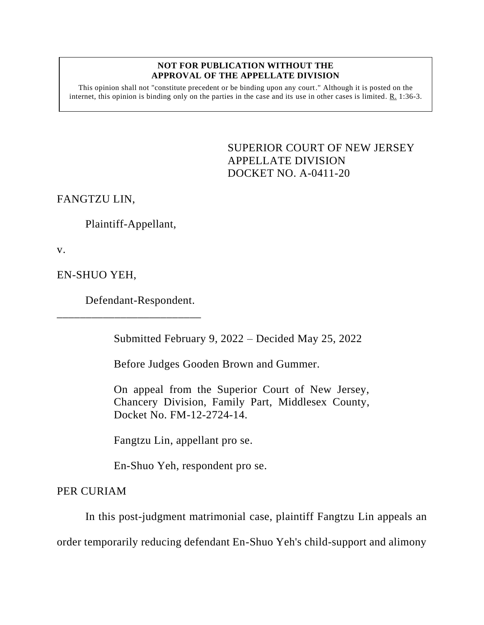## **NOT FOR PUBLICATION WITHOUT THE APPROVAL OF THE APPELLATE DIVISION**

This opinion shall not "constitute precedent or be binding upon any court." Although it is posted on the internet, this opinion is binding only on the parties in the case and its use in other cases is limited. R. 1:36-3.

> <span id="page-0-0"></span>SUPERIOR COURT OF NEW JERSEY APPELLATE DIVISION DOCKET NO. A-0411-20

FANGTZU LIN,

Plaintiff-Appellant,

v.

EN-SHUO YEH,

Defendant-Respondent.

\_\_\_\_\_\_\_\_\_\_\_\_\_\_\_\_\_\_\_\_\_\_\_\_\_

Submitted February 9, 2022 – Decided May 25, 2022

Before Judges Gooden Brown and Gummer.

On appeal from the Superior Court of New Jersey, Chancery Division, Family Part, Middlesex County, Docket No. FM-12-2724-14.

Fangtzu Lin, appellant pro se.

En-Shuo Yeh, respondent pro se.

PER CURIAM

In this post-judgment matrimonial case, plaintiff Fangtzu Lin appeals an

order temporarily reducing defendant En-Shuo Yeh's child-support and alimony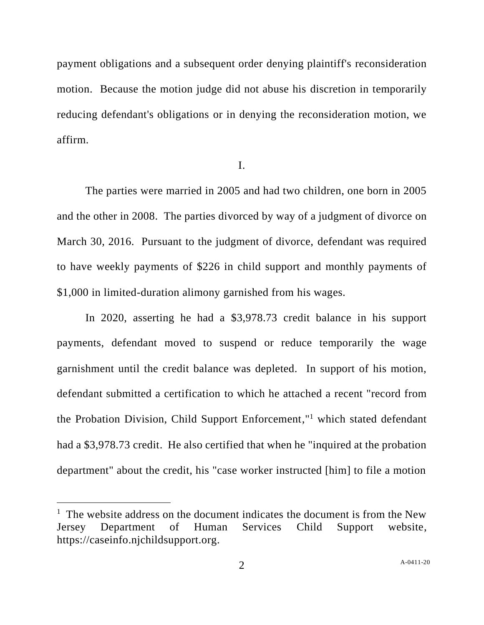payment obligations and a subsequent order denying plaintiff's reconsideration motion. Because the motion judge did not abuse his discretion in temporarily reducing defendant's obligations or in denying the reconsideration motion, we affirm.

I.

The parties were married in 2005 and had two children, one born in 2005 and the other in 2008. The parties divorced by way of a judgment of divorce on March 30, 2016. Pursuant to the judgment of divorce, defendant was required to have weekly payments of \$226 in child support and monthly payments of \$1,000 in limited-duration alimony garnished from his wages.

In 2020, asserting he had a \$3,978.73 credit balance in his support payments, defendant moved to suspend or reduce temporarily the wage garnishment until the credit balance was depleted. In support of his motion, defendant submitted a certification to which he attached a recent "record from the Probation Division, Child Support Enforcement," <sup>1</sup> which stated defendant had a \$3,978.73 credit. He also certified that when he "inquired at the probation department" about the credit, his "case worker instructed [him] to file a motion

 $1$  The website address on the document indicates the document is from the New Jersey Department of Human Services Child Support website, https://caseinfo.njchildsupport.org.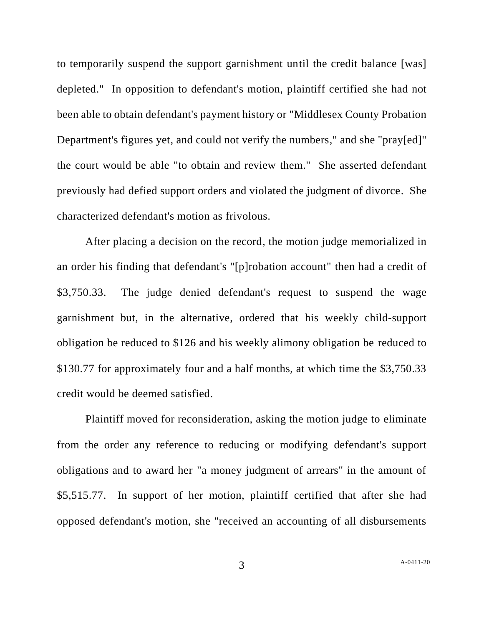to temporarily suspend the support garnishment until the credit balance [was] depleted." In opposition to defendant's motion, plaintiff certified she had not been able to obtain defendant's payment history or "Middlesex County Probation Department's figures yet, and could not verify the numbers," and she "pray[ed]" the court would be able "to obtain and review them." She asserted defendant previously had defied support orders and violated the judgment of divorce. She characterized defendant's motion as frivolous.

After placing a decision on the record, the motion judge memorialized in an order his finding that defendant's "[p]robation account" then had a credit of \$3,750.33. The judge denied defendant's request to suspend the wage garnishment but, in the alternative, ordered that his weekly child-support obligation be reduced to \$126 and his weekly alimony obligation be reduced to \$130.77 for approximately four and a half months, at which time the \$3,750.33 credit would be deemed satisfied.

Plaintiff moved for reconsideration, asking the motion judge to eliminate from the order any reference to reducing or modifying defendant's support obligations and to award her "a money judgment of arrears" in the amount of \$5,515.77. In support of her motion, plaintiff certified that after she had opposed defendant's motion, she "received an accounting of all disbursements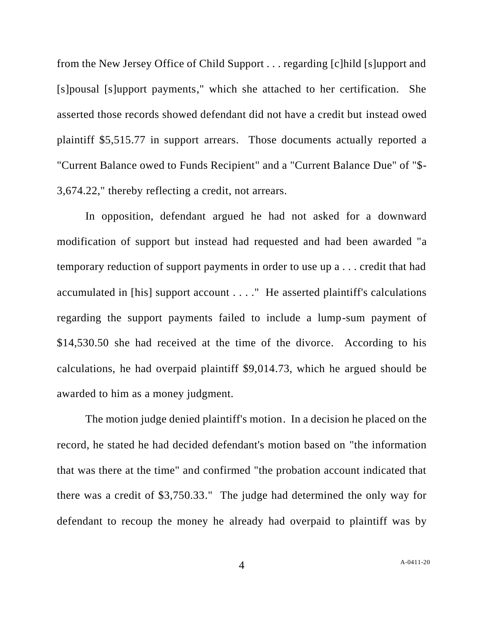from the New Jersey Office of Child Support . . . regarding [c]hild [s]upport and [s]pousal [s]upport payments," which she attached to her certification. She asserted those records showed defendant did not have a credit but instead owed plaintiff \$5,515.77 in support arrears. Those documents actually reported a "Current Balance owed to Funds Recipient" and a "Current Balance Due" of "\$- 3,674.22," thereby reflecting a credit, not arrears.

In opposition, defendant argued he had not asked for a downward modification of support but instead had requested and had been awarded "a temporary reduction of support payments in order to use up a . . . credit that had accumulated in [his] support account . . . ." He asserted plaintiff's calculations regarding the support payments failed to include a lump-sum payment of \$14,530.50 she had received at the time of the divorce. According to his calculations, he had overpaid plaintiff \$9,014.73, which he argued should be awarded to him as a money judgment.

The motion judge denied plaintiff's motion. In a decision he placed on the record, he stated he had decided defendant's motion based on "the information that was there at the time" and confirmed "the probation account indicated that there was a credit of \$3,750.33." The judge had determined the only way for defendant to recoup the money he already had overpaid to plaintiff was by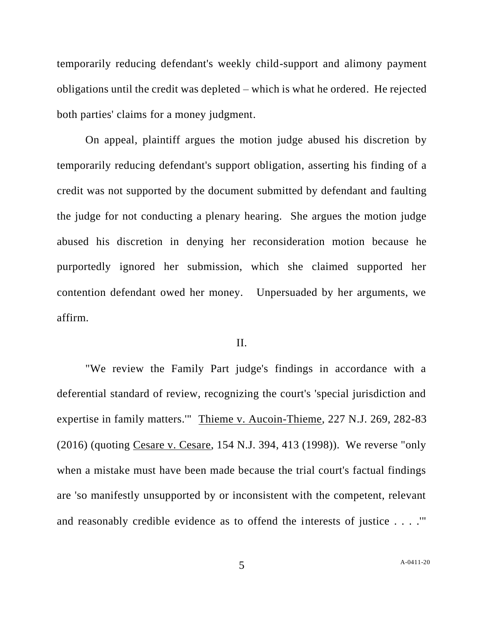temporarily reducing defendant's weekly child-support and alimony payment obligations until the credit was depleted – which is what he ordered. He rejected both parties' claims for a money judgment.

On appeal, plaintiff argues the motion judge abused his discretion by temporarily reducing defendant's support obligation, asserting his finding of a credit was not supported by the document submitted by defendant and faulting the judge for not conducting a plenary hearing. She argues the motion judge abused his discretion in denying her reconsideration motion because he purportedly ignored her submission, which she claimed supported her contention defendant owed her money. Unpersuaded by her arguments, we affirm.

## II.

"We review the Family Part judge's findings in accordance with a deferential standard of review, recognizing the court's 'special jurisdiction and expertise in family matters.'" Thieme v. Aucoin-Thieme, 227 N.J. 269, 282-83 (2016) (quoting Cesare v. Cesare, 154 N.J. 394, 413 (1998)). We reverse "only when a mistake must have been made because the trial court's factual findings are 'so manifestly unsupported by or inconsistent with the competent, relevant and reasonably credible evidence as to offend the interests of justice . . . .'"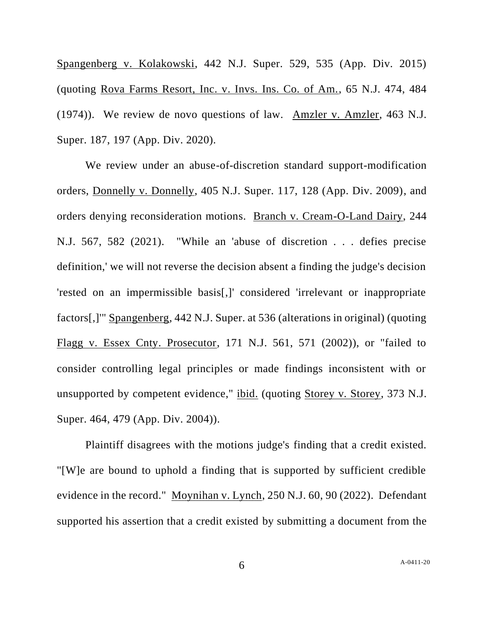Spangenberg v. Kolakowski, 442 N.J. Super. 529, 535 (App. Div. 2015) (quoting Rova Farms Resort, Inc. v. Invs. Ins. Co. of Am., 65 N.J. 474, 484 (1974)). We review de novo questions of law. Amzler v. Amzler, 463 N.J. Super. 187, 197 (App. Div. 2020).

We review under an abuse-of-discretion standard support-modification orders, Donnelly v. Donnelly, 405 N.J. Super. 117, 128 (App. Div. 2009), and orders denying reconsideration motions. Branch v. Cream-O-Land Dairy, 244 N.J. 567, 582 (2021). "While an 'abuse of discretion . . . defies precise definition,' we will not reverse the decision absent a finding the judge's decision 'rested on an impermissible basis[,]' considered 'irrelevant or inappropriate factors[,]'" Spangenberg, 442 N.J. Super. at 536 (alterations in original) (quoting Flagg v. Essex Cnty. Prosecutor, 171 N.J. 561, 571 (2002)), or "failed to consider controlling legal principles or made findings inconsistent with or unsupported by competent evidence," ibid. (quoting Storey v. Storey, 373 N.J. Super. 464, 479 (App. Div. 2004)).

Plaintiff disagrees with the motions judge's finding that a credit existed. "[W]e are bound to uphold a finding that is supported by sufficient credible evidence in the record." Moynihan v. Lynch, 250 N.J. 60, 90 (2022). Defendant supported his assertion that a credit existed by submitting a document from the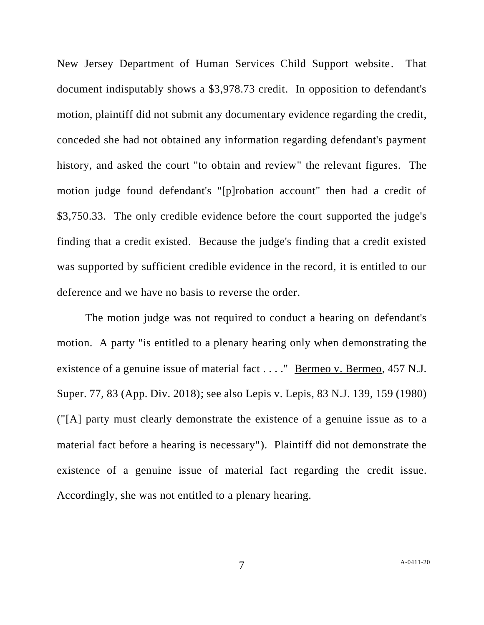New Jersey Department of Human Services Child Support website. That document indisputably shows a \$3,978.73 credit. In opposition to defendant's motion, plaintiff did not submit any documentary evidence regarding the credit, conceded she had not obtained any information regarding defendant's payment history, and asked the court "to obtain and review" the relevant figures. The motion judge found defendant's "[p]robation account" then had a credit of \$3,750.33. The only credible evidence before the court supported the judge's finding that a credit existed. Because the judge's finding that a credit existed was supported by sufficient credible evidence in the record, it is entitled to our deference and we have no basis to reverse the order.

The motion judge was not required to conduct a hearing on defendant's motion. A party "is entitled to a plenary hearing only when demonstrating the existence of a genuine issue of material fact . . . . " Bermeo v. Bermeo, 457 N.J. Super. 77, 83 (App. Div. 2018); see also Lepis v. Lepis, 83 N.J. 139, 159 (1980) ("[A] party must clearly demonstrate the existence of a genuine issue as to a material fact before a hearing is necessary"). Plaintiff did not demonstrate the existence of a genuine issue of material fact regarding the credit issue. Accordingly, she was not entitled to a plenary hearing.